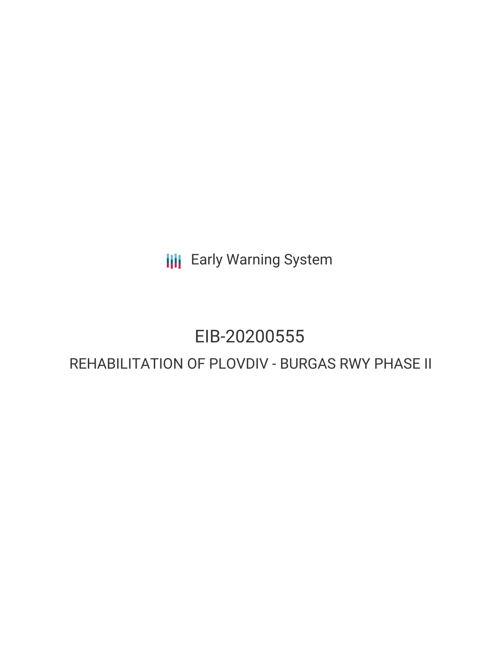**III** Early Warning System

# EIB-20200555

# REHABILITATION OF PLOVDIV - BURGAS RWY PHASE II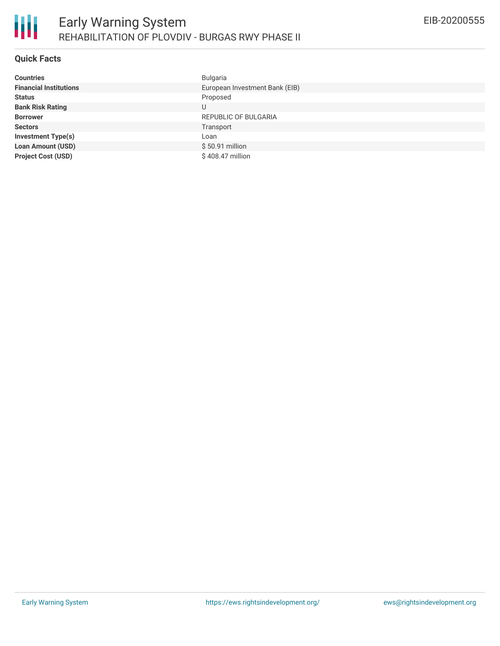## **Quick Facts**

| <b>Countries</b>              | <b>Bulgaria</b>                |
|-------------------------------|--------------------------------|
| <b>Financial Institutions</b> | European Investment Bank (EIB) |
| <b>Status</b>                 | Proposed                       |
| <b>Bank Risk Rating</b>       | U                              |
| <b>Borrower</b>               | REPUBLIC OF BULGARIA           |
| <b>Sectors</b>                | Transport                      |
| <b>Investment Type(s)</b>     | Loan                           |
| <b>Loan Amount (USD)</b>      | $$50.91$ million               |
| <b>Project Cost (USD)</b>     | \$408.47 million               |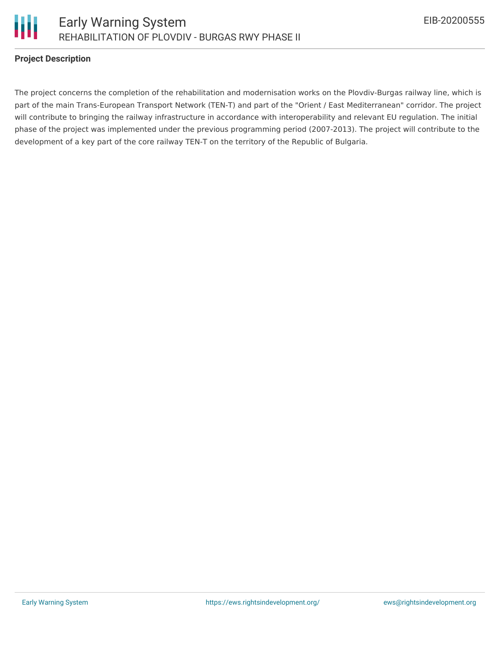



#### **Project Description**

The project concerns the completion of the rehabilitation and modernisation works on the Plovdiv-Burgas railway line, which is part of the main Trans-European Transport Network (TEN-T) and part of the "Orient / East Mediterranean" corridor. The project will contribute to bringing the railway infrastructure in accordance with interoperability and relevant EU regulation. The initial phase of the project was implemented under the previous programming period (2007-2013). The project will contribute to the development of a key part of the core railway TEN-T on the territory of the Republic of Bulgaria.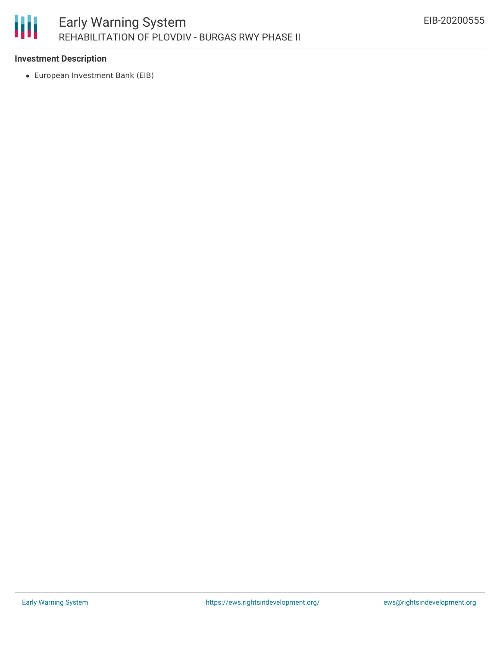

#### **Investment Description**

European Investment Bank (EIB)